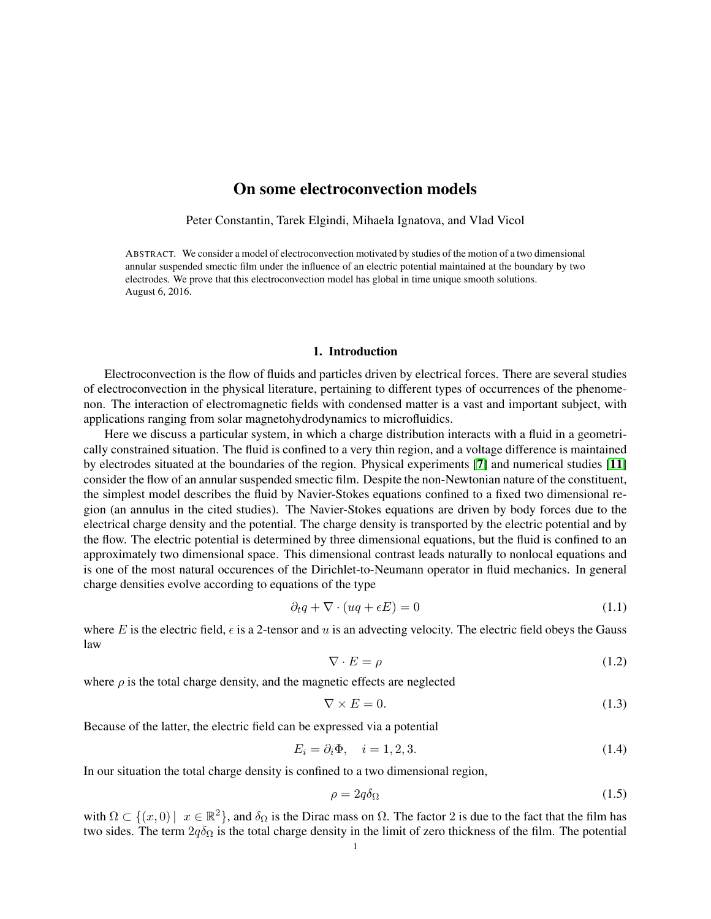# On some electroconvection models

Peter Constantin, Tarek Elgindi, Mihaela Ignatova, and Vlad Vicol

ABSTRACT. We consider a model of electroconvection motivated by studies of the motion of a two dimensional annular suspended smectic film under the influence of an electric potential maintained at the boundary by two electrodes. We prove that this electroconvection model has global in time unique smooth solutions. August 6, 2016.

# 1. Introduction

Electroconvection is the flow of fluids and particles driven by electrical forces. There are several studies of electroconvection in the physical literature, pertaining to different types of occurrences of the phenomenon. The interaction of electromagnetic fields with condensed matter is a vast and important subject, with applications ranging from solar magnetohydrodynamics to microfluidics.

Here we discuss a particular system, in which a charge distribution interacts with a fluid in a geometrically constrained situation. The fluid is confined to a very thin region, and a voltage difference is maintained by electrodes situated at the boundaries of the region. Physical experiments [[7](#page-9-0)] and numerical studies [[11](#page-9-1)] consider the flow of an annular suspended smectic film. Despite the non-Newtonian nature of the constituent, the simplest model describes the fluid by Navier-Stokes equations confined to a fixed two dimensional region (an annulus in the cited studies). The Navier-Stokes equations are driven by body forces due to the electrical charge density and the potential. The charge density is transported by the electric potential and by the flow. The electric potential is determined by three dimensional equations, but the fluid is confined to an approximately two dimensional space. This dimensional contrast leads naturally to nonlocal equations and is one of the most natural occurences of the Dirichlet-to-Neumann operator in fluid mechanics. In general charge densities evolve according to equations of the type

$$
\partial_t q + \nabla \cdot (uq + \epsilon E) = 0 \tag{1.1}
$$

where E is the electric field,  $\epsilon$  is a 2-tensor and u is an advecting velocity. The electric field obeys the Gauss law

$$
\nabla \cdot E = \rho \tag{1.2}
$$

where  $\rho$  is the total charge density, and the magnetic effects are neglected

$$
\nabla \times E = 0. \tag{1.3}
$$

Because of the latter, the electric field can be expressed via a potential

$$
E_i = \partial_i \Phi, \quad i = 1, 2, 3. \tag{1.4}
$$

In our situation the total charge density is confined to a two dimensional region,

$$
\rho = 2q\delta_{\Omega} \tag{1.5}
$$

with  $\Omega \subset \{(x,0) \mid x \in \mathbb{R}^2\}$ , and  $\delta_{\Omega}$  is the Dirac mass on  $\Omega$ . The factor 2 is due to the fact that the film has two sides. The term  $2q\delta_{\Omega}$  is the total charge density in the limit of zero thickness of the film. The potential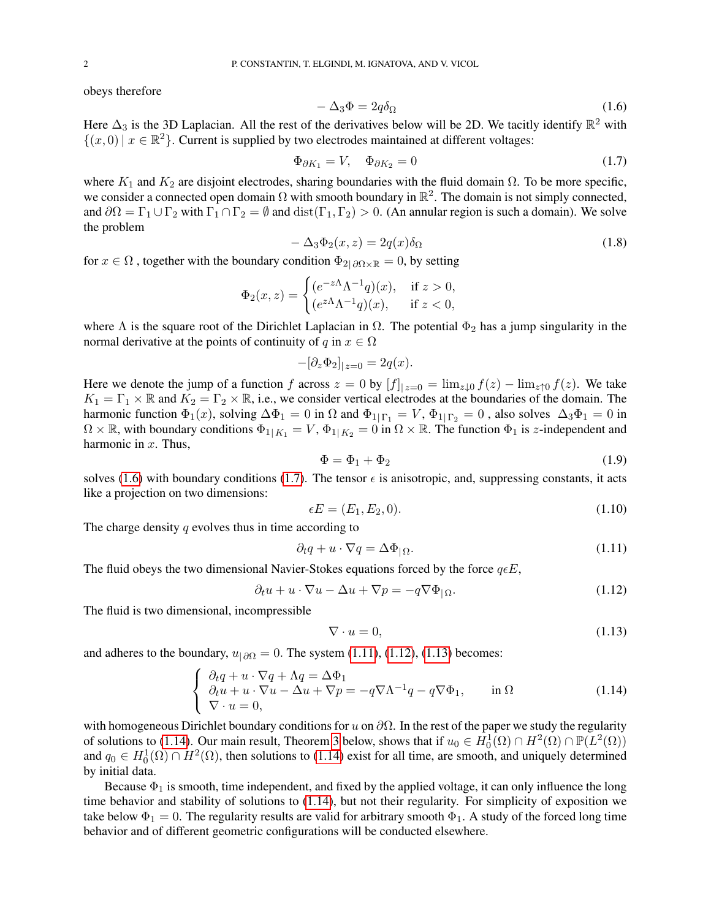obeys therefore

<span id="page-1-0"></span>
$$
-\Delta_3 \Phi = 2q \delta_\Omega \tag{1.6}
$$

Here  $\Delta_3$  is the 3D Laplacian. All the rest of the derivatives below will be 2D. We tacitly identify  $\mathbb{R}^2$  with  $\{(x,0) | x \in \mathbb{R}^2\}$ . Current is supplied by two electrodes maintained at different voltages:

<span id="page-1-1"></span>
$$
\Phi_{\partial K_1} = V, \quad \Phi_{\partial K_2} = 0 \tag{1.7}
$$

where  $K_1$  and  $K_2$  are disjoint electrodes, sharing boundaries with the fluid domain  $\Omega$ . To be more specific, we consider a connected open domain  $\Omega$  with smooth boundary in  $\mathbb{R}^2$ . The domain is not simply connected, and  $\partial\Omega = \Gamma_1 \cup \Gamma_2$  with  $\Gamma_1 \cap \Gamma_2 = \emptyset$  and  $dist(\Gamma_1, \Gamma_2) > 0$ . (An annular region is such a domain). We solve the problem

$$
-\Delta_3 \Phi_2(x, z) = 2q(x)\delta_{\Omega} \tag{1.8}
$$

for  $x \in \Omega$ , together with the boundary condition  $\Phi_{2|\partial\Omega \times \mathbb{R}} = 0$ , by setting

$$
\Phi_2(x, z) = \begin{cases}\n(e^{-z\Lambda} \Lambda^{-1} q)(x), & \text{if } z > 0, \\
(e^{z\Lambda} \Lambda^{-1} q)(x), & \text{if } z < 0,\n\end{cases}
$$

where  $\Lambda$  is the square root of the Dirichlet Laplacian in  $\Omega$ . The potential  $\Phi_2$  has a jump singularity in the normal derivative at the points of continuity of q in  $x \in \Omega$ 

$$
-[\partial_z \Phi_2]_{|z=0} = 2q(x).
$$

Here we denote the jump of a function f across  $z = 0$  by  $[f]_{|z=0} = \lim_{z\downarrow 0} f(z) - \lim_{z\uparrow 0} f(z)$ . We take  $K_1 = \Gamma_1 \times \mathbb{R}$  and  $K_2 = \Gamma_2 \times \mathbb{R}$ , i.e., we consider vertical electrodes at the boundaries of the domain. The harmonic function  $\Phi_1(x)$ , solving  $\Delta \Phi_1 = 0$  in  $\Omega$  and  $\Phi_1|_{\Gamma_1} = V$ ,  $\Phi_1|_{\Gamma_2} = 0$ , also solves  $\Delta_3 \Phi_1 = 0$  in  $\Omega \times \mathbb{R}$ , with boundary conditions  $\Phi_{1|K_1} = V$ ,  $\Phi_{1|K_2} = 0$  in  $\Omega \times \mathbb{R}$ . The function  $\Phi_1$  is z-independent and harmonic in  $x$ . Thus,

$$
\Phi = \Phi_1 + \Phi_2 \tag{1.9}
$$

solves [\(1.6\)](#page-1-0) with boundary conditions [\(1.7\)](#page-1-1). The tensor  $\epsilon$  is anisotropic, and, suppressing constants, it acts like a projection on two dimensions:

$$
\epsilon E = (E_1, E_2, 0). \tag{1.10}
$$

The charge density  $q$  evolves thus in time according to

<span id="page-1-2"></span>
$$
\partial_t q + u \cdot \nabla q = \Delta \Phi_{|\Omega}.\tag{1.11}
$$

The fluid obeys the two dimensional Navier-Stokes equations forced by the force  $q \epsilon E$ ,

<span id="page-1-3"></span>
$$
\partial_t u + u \cdot \nabla u - \Delta u + \nabla p = -q \nabla \Phi_{|\Omega}.
$$
\n(1.12)

The fluid is two dimensional, incompressible

<span id="page-1-4"></span>
$$
\nabla \cdot u = 0,\tag{1.13}
$$

and adheres to the boundary,  $u_{|\partial\Omega} = 0$ . The system [\(1.11\)](#page-1-2), [\(1.12\)](#page-1-3), [\(1.13\)](#page-1-4) becomes:

<span id="page-1-5"></span>
$$
\begin{cases}\n\partial_t q + u \cdot \nabla q + \Lambda q = \Delta \Phi_1 \\
\partial_t u + u \cdot \nabla u - \Delta u + \nabla p = -q \nabla \Lambda^{-1} q - q \nabla \Phi_1, \quad \text{in } \Omega \\
\nabla \cdot u = 0,\n\end{cases}
$$
\n(1.14)

with homogeneous Dirichlet boundary conditions for u on  $\partial\Omega$ . In the rest of the paper we study the regularity of solutions to [\(1.14\)](#page-1-5). Our main result, Theorem [3](#page-5-0) below, shows that if  $u_0 \in H_0^1(\Omega) \cap H^2(\Omega) \cap \mathbb{P}(L^2(\Omega))$ and  $q_0 \in H_0^1(\Omega) \cap H^2(\Omega)$ , then solutions to [\(1.14\)](#page-1-5) exist for all time, are smooth, and uniquely determined by initial data.

Because  $\Phi_1$  is smooth, time independent, and fixed by the applied voltage, it can only influence the long time behavior and stability of solutions to [\(1.14\)](#page-1-5), but not their regularity. For simplicity of exposition we take below  $\Phi_1 = 0$ . The regularity results are valid for arbitrary smooth  $\Phi_1$ . A study of the forced long time behavior and of different geometric configurations will be conducted elsewhere.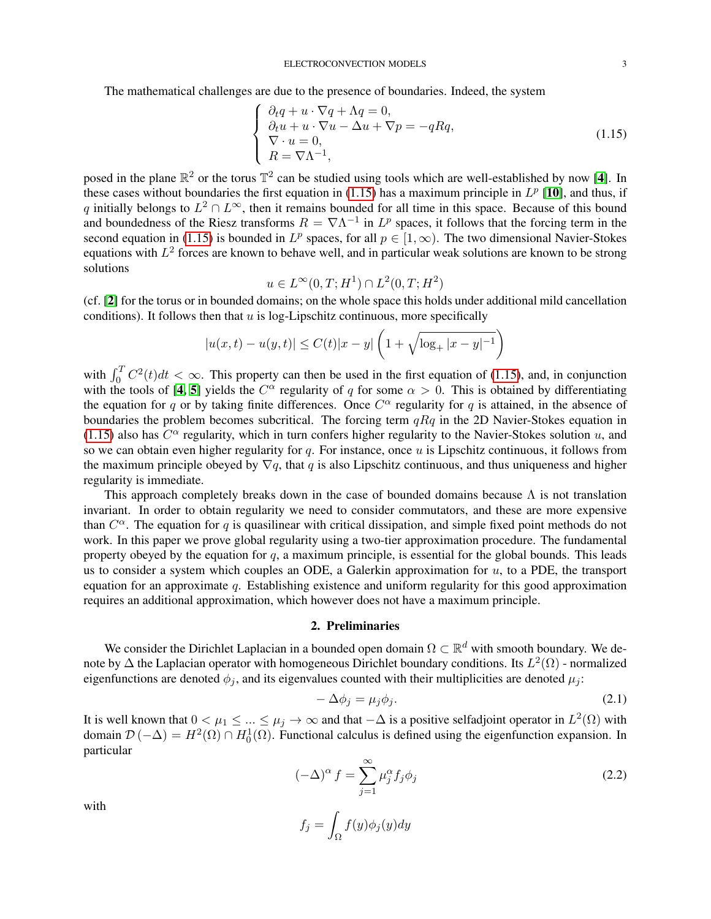The mathematical challenges are due to the presence of boundaries. Indeed, the system

<span id="page-2-0"></span>
$$
\begin{cases}\n\partial_t q + u \cdot \nabla q + \Lambda q = 0, \\
\partial_t u + u \cdot \nabla u - \Delta u + \nabla p = -qRq, \\
\nabla \cdot u = 0, \\
R = \nabla \Lambda^{-1},\n\end{cases}
$$
\n(1.15)

posed in the plane  $\mathbb{R}^2$  or the torus  $\mathbb{T}^2$  can be studied using tools which are well-established by now [[4](#page-9-2)]. In these cases without boundaries the first equation in [\(1.15\)](#page-2-0) has a maximum principle in  $L^p$  [[10](#page-9-3)], and thus, if q initially belongs to  $L^2 \cap L^{\infty}$ , then it remains bounded for all time in this space. Because of this bound and boundedness of the Riesz transforms  $R = \nabla \Lambda^{-1}$  in  $L^p$  spaces, it follows that the forcing term in the second equation in [\(1.15\)](#page-2-0) is bounded in  $L^p$  spaces, for all  $p \in [1,\infty)$ . The two dimensional Navier-Stokes equations with  $L^2$  forces are known to behave well, and in particular weak solutions are known to be strong solutions

$$
u \in L^{\infty}(0,T; H^1) \cap L^2(0,T; H^2)
$$

(cf. [[2](#page-9-4)] for the torus or in bounded domains; on the whole space this holds under additional mild cancellation conditions). It follows then that  $u$  is log-Lipschitz continuous, more specifically

$$
|u(x,t) - u(y,t)| \le C(t)|x - y| \left(1 + \sqrt{\log_+ |x - y|^{-1}}\right)
$$

with  $\int_0^T C^2(t)dt < \infty$ . This property can then be used in the first equation of [\(1.15\)](#page-2-0), and, in conjunction with the tools of [[4,](#page-9-2) [5](#page-9-5)] yields the  $C^{\alpha}$  regularity of q for some  $\alpha > 0$ . This is obtained by differentiating the equation for q or by taking finite differences. Once  $C^{\alpha}$  regularity for q is attained, in the absence of boundaries the problem becomes subcritical. The forcing term  $qRq$  in the 2D Navier-Stokes equation in [\(1.15\)](#page-2-0) also has  $C^{\alpha}$  regularity, which in turn confers higher regularity to the Navier-Stokes solution u, and so we can obtain even higher regularity for q. For instance, once  $u$  is Lipschitz continuous, it follows from the maximum principle obeyed by  $\nabla q$ , that q is also Lipschitz continuous, and thus uniqueness and higher regularity is immediate.

This approach completely breaks down in the case of bounded domains because  $\Lambda$  is not translation invariant. In order to obtain regularity we need to consider commutators, and these are more expensive than  $C^{\alpha}$ . The equation for q is quasilinear with critical dissipation, and simple fixed point methods do not work. In this paper we prove global regularity using a two-tier approximation procedure. The fundamental property obeyed by the equation for  $q$ , a maximum principle, is essential for the global bounds. This leads us to consider a system which couples an ODE, a Galerkin approximation for  $u$ , to a PDE, the transport equation for an approximate  $q$ . Establishing existence and uniform regularity for this good approximation requires an additional approximation, which however does not have a maximum principle.

## 2. Preliminaries

We consider the Dirichlet Laplacian in a bounded open domain  $\Omega \subset \mathbb{R}^d$  with smooth boundary. We denote by  $\Delta$  the Laplacian operator with homogeneous Dirichlet boundary conditions. Its  $L^2(\Omega)$  - normalized eigenfunctions are denoted  $\phi_j$ , and its eigenvalues counted with their multiplicities are denoted  $\mu_j$ :

$$
-\Delta\phi_j = \mu_j \phi_j. \tag{2.1}
$$

It is well known that  $0 < \mu_1 \leq ... \leq \mu_j \to \infty$  and that  $-\Delta$  is a positive selfadjoint operator in  $L^2(\Omega)$  with domain  $\mathcal{D}(-\Delta) = H^2(\Omega) \cap H_0^1(\Omega)$ . Functional calculus is defined using the eigenfunction expansion. In particular

$$
(-\Delta)^{\alpha} f = \sum_{j=1}^{\infty} \mu_j^{\alpha} f_j \phi_j
$$
 (2.2)

with

$$
f_j = \int_{\Omega} f(y) \phi_j(y) dy
$$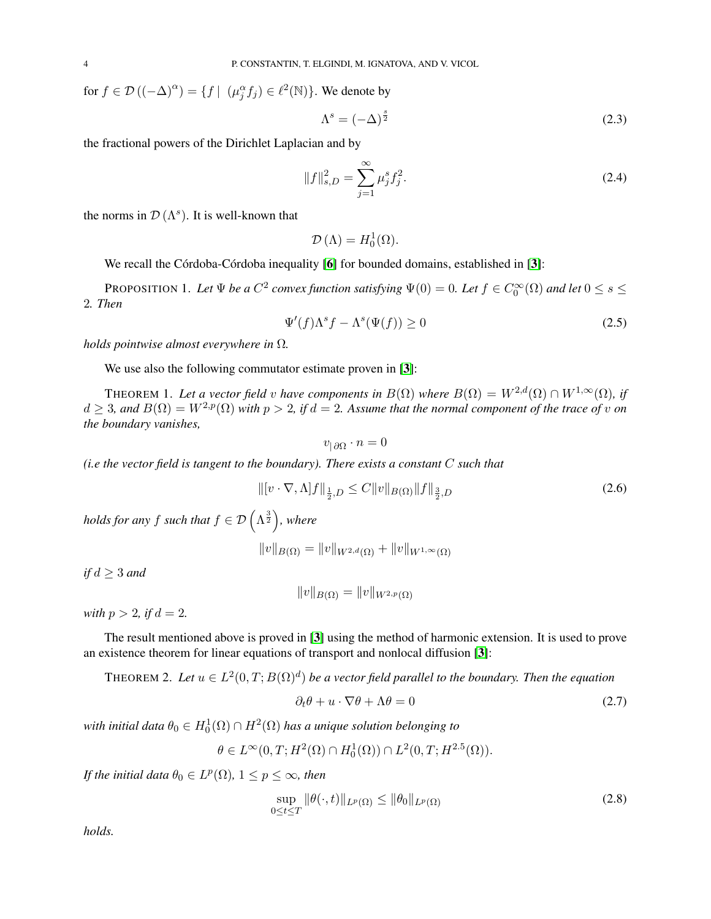for  $f \in \mathcal{D}((-\Delta)^{\alpha}) = \{f \mid (\mu_j^{\alpha} f_j) \in \ell^2(\mathbb{N})\}$ . We denote by

$$
\Lambda^s = (-\Delta)^{\frac{s}{2}} \tag{2.3}
$$

the fractional powers of the Dirichlet Laplacian and by

$$
||f||_{s,D}^{2} = \sum_{j=1}^{\infty} \mu_{j}^{s} f_{j}^{2}.
$$
 (2.4)

the norms in  $\mathcal{D}(\Lambda^s)$ . It is well-known that

 $\mathcal{D}\left(\Lambda\right) = H_0^1(\Omega).$ 

We recall the Córdoba-Córdoba inequality  $[6]$  $[6]$  $[6]$  for bounded domains, established in  $[3]$  $[3]$  $[3]$ :

<span id="page-3-2"></span>PROPOSITION 1. Let  $\Psi$  be a  $C^2$  convex function satisfying  $\Psi(0) = 0$ . Let  $f \in C_0^{\infty}(\Omega)$  and let  $0 \le s \le$ 2*. Then*

$$
\Psi'(f)\Lambda^s f - \Lambda^s(\Psi(f)) \ge 0 \tag{2.5}
$$

*holds pointwise almost everywhere in* Ω*.*

We use also the following commutator estimate proven in [[3](#page-9-7)]:

THEOREM 1. Let a vector field v have components in  $B(\Omega)$  where  $B(\Omega) = W^{2,d}(\Omega) \cap W^{1,\infty}(\Omega)$ , if  $d \geq 3$ , and  $B(\Omega) = W^{2,p}(\Omega)$  with  $p > 2$ , if  $d = 2$ . Assume that the normal component of the trace of v on *the boundary vanishes,*

 $v_{\mid \partial\Omega} \cdot n = 0$ 

*(i.e the vector field is tangent to the boundary). There exists a constant* C *such that*

<span id="page-3-1"></span>
$$
\| [v \cdot \nabla, \Lambda] f \|_{\frac{1}{2}, D} \le C \| v \|_{B(\Omega)} \| f \|_{\frac{3}{2}, D}
$$
\n(2.6)

*holds for any f such that*  $f \in \mathcal{D}\left(\Lambda^{\frac{3}{2}}\right)$ *, where* 

 $||v||_{B(\Omega)} = ||v||_{W^{2,d}(\Omega)} + ||v||_{W^{1,\infty}(\Omega)}$ 

*if*  $d \geq 3$  *and* 

 $||v||_{B(\Omega)} = ||v||_{W^{2,p}(\Omega)}$ 

*with*  $p > 2$ *, if*  $d = 2$ *.* 

The result mentioned above is proved in [[3](#page-9-7)] using the method of harmonic extension. It is used to prove an existence theorem for linear equations of transport and nonlocal diffusion [[3](#page-9-7)]:

<span id="page-3-0"></span>THEOREM 2. Let  $u \in L^2(0,T;B(\Omega)^d)$  be a vector field parallel to the boundary. Then the equation

$$
\partial_t \theta + u \cdot \nabla \theta + \Lambda \theta = 0 \tag{2.7}
$$

with initial data  $\theta_0 \in H^1_0(\Omega) \cap H^2(\Omega)$  has a unique solution belonging to

$$
\theta \in L^{\infty}(0,T; H^{2}(\Omega) \cap H^{1}_{0}(\Omega)) \cap L^{2}(0,T; H^{2.5}(\Omega)).
$$

*If the initial data*  $\theta_0 \in L^p(\Omega)$ ,  $1 \leq p \leq \infty$ *, then* 

$$
\sup_{0 \le t \le T} \|\theta(\cdot, t)\|_{L^p(\Omega)} \le \|\theta_0\|_{L^p(\Omega)} \tag{2.8}
$$

*holds.*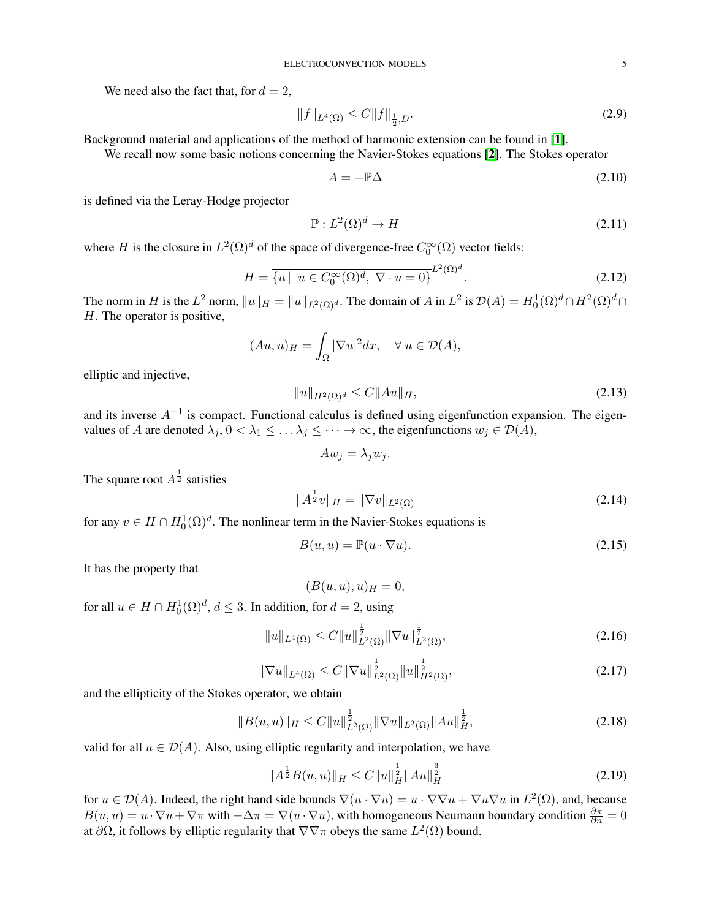We need also the fact that, for  $d = 2$ ,

<span id="page-4-1"></span>
$$
||f||_{L^{4}(\Omega)} \le C||f||_{\frac{1}{2},D}.
$$
\n(2.9)

Background material and applications of the method of harmonic extension can be found in [[1](#page-9-8)].

We recall now some basic notions concerning the Navier-Stokes equations [[2](#page-9-4)]. The Stokes operator

$$
A = -\mathbb{P}\Delta \tag{2.10}
$$

is defined via the Leray-Hodge projector

$$
\mathbb{P}: L^2(\Omega)^d \to H \tag{2.11}
$$

where H is the closure in  $L^2(\Omega)^d$  of the space of divergence-free  $C_0^{\infty}(\Omega)$  vector fields:

$$
H = \overline{\{u \mid u \in C_0^{\infty}(\Omega)^d, \nabla \cdot u = 0\}}^{L^2(\Omega)^d}.
$$
\n(2.12)

The norm in H is the  $L^2$  norm,  $||u||_H = ||u||_{L^2(\Omega)^d}$ . The domain of A in  $L^2$  is  $\mathcal{D}(A) = H_0^1(\Omega)^d \cap H^2(\Omega)^d \cap$ H. The operator is positive,

$$
(Au, u)_H = \int_{\Omega} |\nabla u|^2 dx, \quad \forall u \in \mathcal{D}(A),
$$

elliptic and injective,

<span id="page-4-2"></span>
$$
||u||_{H^{2}(\Omega)^{d}} \leq C||Au||_{H}, \tag{2.13}
$$

and its inverse  $A^{-1}$  is compact. Functional calculus is defined using eigenfunction expansion. The eigenvalues of A are denoted  $\lambda_j$ ,  $0 < \lambda_1 \leq \ldots \lambda_j \leq \cdots \to \infty$ , the eigenfunctions  $w_j \in \mathcal{D}(A)$ ,

$$
Aw_j=\lambda_jw_j.
$$

The square root  $A^{\frac{1}{2}}$  satisfies

$$
||A^{\frac{1}{2}}v||_H = ||\nabla v||_{L^2(\Omega)} \tag{2.14}
$$

for any  $v \in H \cap H_0^1(\Omega)^d$ . The nonlinear term in the Navier-Stokes equations is

$$
B(u, u) = \mathbb{P}(u \cdot \nabla u). \tag{2.15}
$$

It has the property that

$$
(B(u, u), u)_H = 0,
$$

for all  $u \in H \cap H_0^1(\Omega)^d$ ,  $d \leq 3$ . In addition, for  $d = 2$ , using

$$
||u||_{L^{4}(\Omega)} \leq C||u||_{L^{2}(\Omega)}^{\frac{1}{2}}||\nabla u||_{L^{2}(\Omega)}^{\frac{1}{2}},
$$
\n(2.16)

<span id="page-4-3"></span>
$$
\|\nabla u\|_{L^{4}(\Omega)} \leq C\|\nabla u\|_{L^{2}(\Omega)}^{\frac{1}{2}}\|u\|_{H^{2}(\Omega)}^{\frac{1}{2}},
$$
\n(2.17)

and the ellipticity of the Stokes operator, we obtain

<span id="page-4-0"></span>
$$
||B(u, u)||_{H} \leq C||u||_{L^{2}(\Omega)}^{\frac{1}{2}}||\nabla u||_{L^{2}(\Omega)}||Au||_{H}^{\frac{1}{2}},
$$
\n(2.18)

valid for all  $u \in \mathcal{D}(A)$ . Also, using elliptic regularity and interpolation, we have

<span id="page-4-4"></span>
$$
||A^{\frac{1}{2}}B(u,u)||_H \leq C||u||_H^{\frac{1}{2}}||Au||_H^{\frac{3}{2}} \tag{2.19}
$$

for  $u \in \mathcal{D}(A)$ . Indeed, the right hand side bounds  $\nabla(u \cdot \nabla u) = u \cdot \nabla \nabla u + \nabla u \nabla u$  in  $L^2(\Omega)$ , and, because  $B(u, u) = u \cdot \nabla u + \nabla \pi$  with  $-\Delta \pi = \nabla(u \cdot \nabla u)$ , with homogeneous Neumann boundary condition  $\frac{\partial \pi}{\partial n} = 0$ at  $\partial\Omega$ , it follows by elliptic regularity that  $\nabla\nabla\pi$  obeys the same  $L^2(\Omega)$  bound.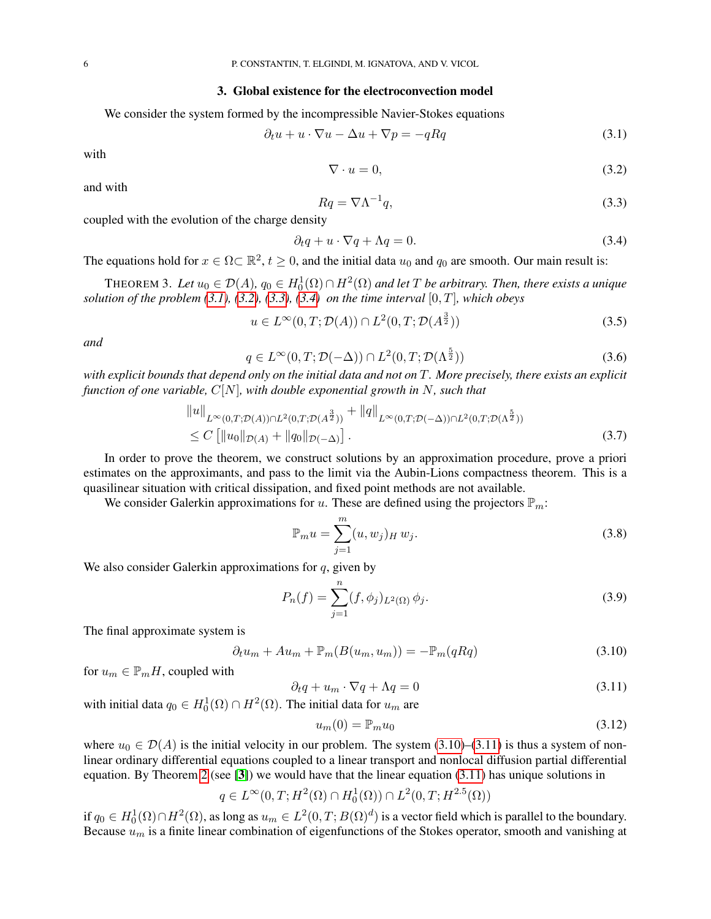#### 3. Global existence for the electroconvection model

We consider the system formed by the incompressible Navier-Stokes equations

<span id="page-5-1"></span>
$$
\partial_t u + u \cdot \nabla u - \Delta u + \nabla p = -qRq \tag{3.1}
$$

with

<span id="page-5-2"></span>
$$
\nabla \cdot u = 0,\tag{3.2}
$$

and with

<span id="page-5-3"></span>
$$
Rq = \nabla \Lambda^{-1}q,\tag{3.3}
$$

coupled with the evolution of the charge density

<span id="page-5-4"></span>
$$
\partial_t q + u \cdot \nabla q + \Lambda q = 0. \tag{3.4}
$$

The equations hold for  $x \in \Omega \subset \mathbb{R}^2$ ,  $t \ge 0$ , and the initial data  $u_0$  and  $q_0$  are smooth. Our main result is:

<span id="page-5-0"></span>THEOREM 3. Let  $u_0 \in \mathcal{D}(A)$ ,  $q_0 \in H_0^1(\Omega) \cap H^2(\Omega)$  and let T be arbitrary. Then, there exists a unique *solution of the problem [\(3.1\)](#page-5-1), [\(3.2\)](#page-5-2), [\(3.3\)](#page-5-3), [\(3.4\)](#page-5-4) on the time interval*  $[0, T]$ *, which obeys* 

$$
u \in L^{\infty}(0, T; \mathcal{D}(A)) \cap L^{2}(0, T; \mathcal{D}(A^{\frac{3}{2}}))
$$
\n
$$
(3.5)
$$

*and*

$$
q \in L^{\infty}(0, T; \mathcal{D}(-\Delta)) \cap L^{2}(0, T; \mathcal{D}(\Lambda^{\frac{5}{2}}))
$$
\n(3.6)

*with explicit bounds that depend only on the initial data and not on* T*. More precisely, there exists an explicit function of one variable,* C[N]*, with double exponential growth in* N*, such that*

$$
\|u\|_{L^{\infty}(0,T;\mathcal{D}(A))\cap L^{2}(0,T;\mathcal{D}(A^{\frac{3}{2}}))} + \|q\|_{L^{\infty}(0,T;\mathcal{D}(-\Delta))\cap L^{2}(0,T;\mathcal{D}(\Lambda^{\frac{5}{2}}))}
$$
  
 
$$
\leq C\left[\|u_{0}\|_{\mathcal{D}(A)} + \|q_{0}\|_{\mathcal{D}(-\Delta)}\right].
$$
 (3.7)

In order to prove the theorem, we construct solutions by an approximation procedure, prove a priori estimates on the approximants, and pass to the limit via the Aubin-Lions compactness theorem. This is a quasilinear situation with critical dissipation, and fixed point methods are not available.

We consider Galerkin approximations for u. These are defined using the projectors  $\mathbb{P}_m$ :

$$
\mathbb{P}_m u = \sum_{j=1}^m (u, w_j)_H w_j.
$$
 (3.8)

We also consider Galerkin approximations for  $q$ , given by

$$
P_n(f) = \sum_{j=1}^n (f, \phi_j)_{L^2(\Omega)} \phi_j.
$$
\n(3.9)

The final approximate system is

<span id="page-5-5"></span>
$$
\partial_t u_m + A u_m + \mathbb{P}_m(B(u_m, u_m)) = -\mathbb{P}_m(qRq)
$$
\n(3.10)

for  $u_m \in \mathbb{P}_m H$ , coupled with

<span id="page-5-6"></span>
$$
\partial_t q + u_m \cdot \nabla q + \Lambda q = 0 \tag{3.11}
$$

with initial data  $q_0 \in H_0^1(\Omega) \cap H^2(\Omega)$ . The initial data for  $u_m$  are

$$
u_m(0) = \mathbb{P}_m u_0 \tag{3.12}
$$

where  $u_0 \in \mathcal{D}(A)$  is the initial velocity in our problem. The system [\(3.10\)](#page-5-5)–[\(3.11\)](#page-5-6) is thus a system of nonlinear ordinary differential equations coupled to a linear transport and nonlocal diffusion partial differential equation. By Theorem [2](#page-3-0) (see [[3](#page-9-7)]) we would have that the linear equation  $(3.11)$  has unique solutions in

$$
q \in L^{\infty}(0, T; H^{2}(\Omega) \cap H^{1}_{0}(\Omega)) \cap L^{2}(0, T; H^{2.5}(\Omega))
$$

if  $q_0 \in H_0^1(\Omega) \cap H^2(\Omega)$ , as long as  $u_m \in L^2(0,T;B(\Omega)^d)$  is a vector field which is parallel to the boundary. Because  $u_m$  is a finite linear combination of eigenfunctions of the Stokes operator, smooth and vanishing at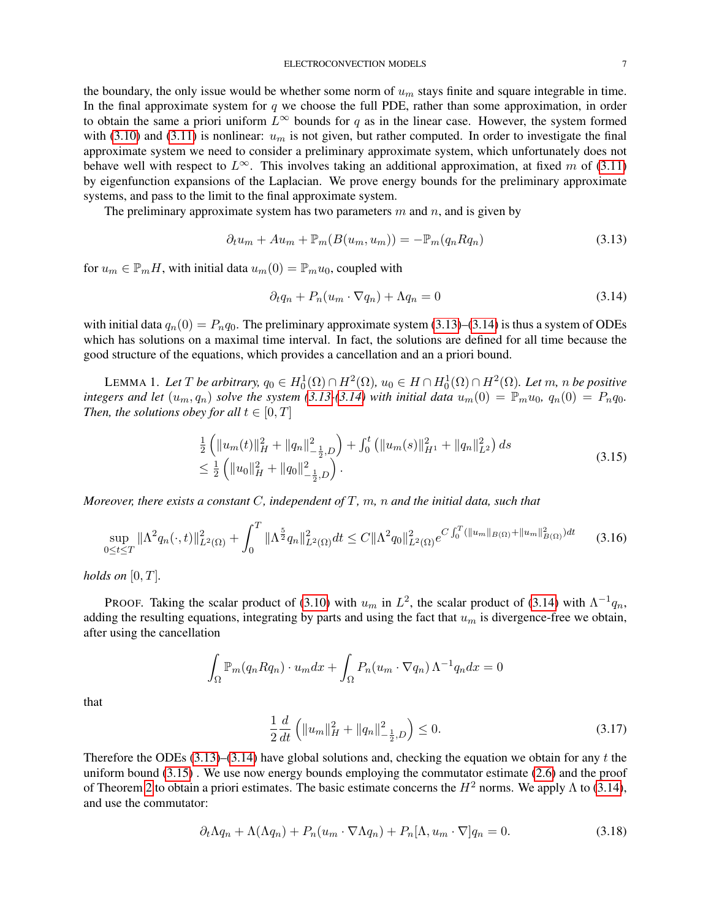the boundary, the only issue would be whether some norm of  $u_m$  stays finite and square integrable in time. In the final approximate system for  $q$  we choose the full PDE, rather than some approximation, in order to obtain the same a priori uniform  $L^{\infty}$  bounds for q as in the linear case. However, the system formed with [\(3.10\)](#page-5-5) and [\(3.11\)](#page-5-6) is nonlinear:  $u_m$  is not given, but rather computed. In order to investigate the final approximate system we need to consider a preliminary approximate system, which unfortunately does not behave well with respect to  $L^{\infty}$ . This involves taking an additional approximation, at fixed m of [\(3.11\)](#page-5-6) by eigenfunction expansions of the Laplacian. We prove energy bounds for the preliminary approximate systems, and pass to the limit to the final approximate system.

The preliminary approximate system has two parameters  $m$  and  $n$ , and is given by

<span id="page-6-0"></span>
$$
\partial_t u_m + A u_m + \mathbb{P}_m(B(u_m, u_m)) = -\mathbb{P}_m(q_n R q_n)
$$
\n(3.13)

for  $u_m \in \mathbb{P}_m H$ , with initial data  $u_m(0) = \mathbb{P}_m u_0$ , coupled with

<span id="page-6-1"></span>
$$
\partial_t q_n + P_n(u_m \cdot \nabla q_n) + \Lambda q_n = 0 \tag{3.14}
$$

with initial data  $q_n(0) = P_n q_0$ . The preliminary approximate system [\(3.13\)](#page-6-0)–[\(3.14\)](#page-6-1) is thus a system of ODEs which has solutions on a maximal time interval. In fact, the solutions are defined for all time because the good structure of the equations, which provides a cancellation and an a priori bound.

LEMMA 1. Let T be arbitrary,  $q_0 \in H_0^1(\Omega) \cap H^2(\Omega)$ ,  $u_0 \in H \cap H_0^1(\Omega) \cap H^2(\Omega)$ . Let  $m$ ,  $n$  be positive *integers and let*  $(u_m, q_n)$  *solve the system [\(3.13-](#page-6-0)*[\(3.14\)](#page-6-1) *with initial data*  $u_m(0) = \mathbb{P}_m u_0$ ,  $q_n(0) = P_n q_0$ . *Then, the solutions obey for all*  $t \in [0, T]$ 

<span id="page-6-2"></span>
$$
\frac{1}{2} \left( \|u_m(t)\|_H^2 + \|q_n\|_{-\frac{1}{2},D}^2 \right) + \int_0^t \left( \|u_m(s)\|_{H^1}^2 + \|q_n\|_{L^2}^2 \right) ds
$$
\n
$$
\leq \frac{1}{2} \left( \|u_0\|_H^2 + \|q_0\|_{-\frac{1}{2},D}^2 \right).
$$
\n(3.15)

*Moreover, there exists a constant* C*, independent of* T*,* m*,* n *and the initial data, such that*

$$
\sup_{0 \le t \le T} \|\Lambda^2 q_n(\cdot, t)\|_{L^2(\Omega)}^2 + \int_0^T \|\Lambda^{\frac{5}{2}} q_n\|_{L^2(\Omega)}^2 dt \le C \|\Lambda^2 q_0\|_{L^2(\Omega)}^2 e^{C \int_0^T (\|u_m\|_{B(\Omega)} + \|u_m\|_{B(\Omega)}^2) dt} \tag{3.16}
$$

*holds on* [0, T]*.*

PROOF. Taking the scalar product of [\(3.10\)](#page-5-5) with  $u_m$  in  $L^2$ , the scalar product of [\(3.14\)](#page-6-1) with  $\Lambda^{-1}q_n$ , adding the resulting equations, integrating by parts and using the fact that  $u_m$  is divergence-free we obtain, after using the cancellation

$$
\int_{\Omega} \mathbb{P}_m(q_n R q_n) \cdot u_m dx + \int_{\Omega} P_n(u_m \cdot \nabla q_n) \Lambda^{-1} q_n dx = 0
$$

that

<span id="page-6-3"></span>
$$
\frac{1}{2}\frac{d}{dt}\left(\|u_m\|_H^2 + \|q_n\|_{-\frac{1}{2},D}^2\right) \le 0.
$$
\n(3.17)

Therefore the ODEs  $(3.13)$ – $(3.14)$  have global solutions and, checking the equation we obtain for any t the uniform bound [\(3.15\)](#page-6-2) . We use now energy bounds employing the commutator estimate [\(2.6\)](#page-3-1) and the proof of Theorem [2](#page-3-0) to obtain a priori estimates. The basic estimate concerns the  $H^2$  norms. We apply  $\Lambda$  to [\(3.14\)](#page-6-1), and use the commutator:

$$
\partial_t \Lambda q_n + \Lambda(\Lambda q_n) + P_n(u_m \cdot \nabla \Lambda q_n) + P_n[\Lambda, u_m \cdot \nabla] q_n = 0. \tag{3.18}
$$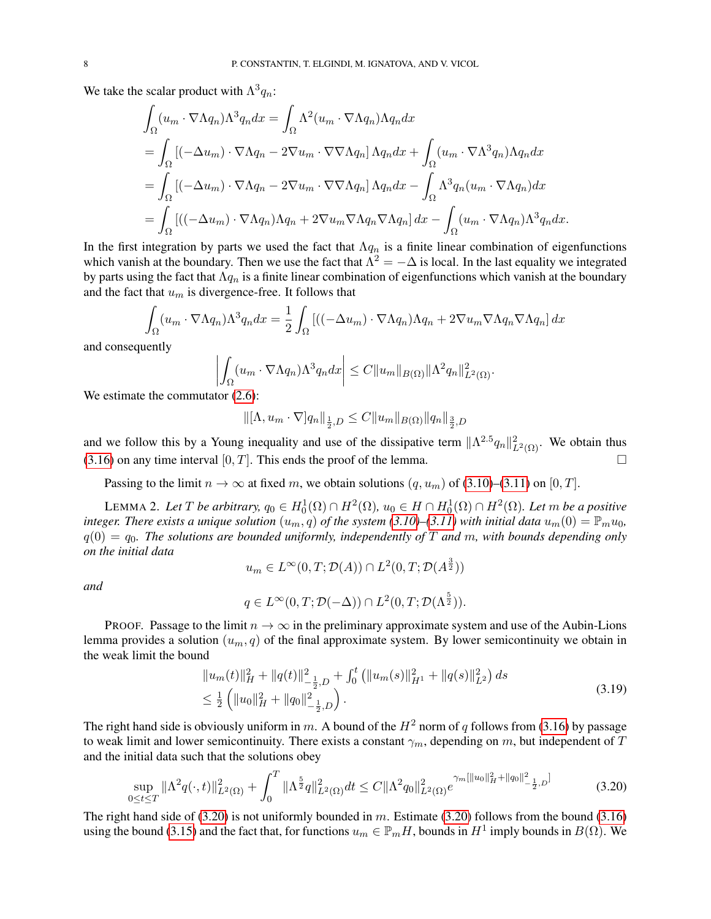We take the scalar product with  $\Lambda^3 q_n$ :

$$
\int_{\Omega} (u_m \cdot \nabla \Lambda q_n) \Lambda^3 q_n dx = \int_{\Omega} \Lambda^2 (u_m \cdot \nabla \Lambda q_n) \Lambda q_n dx
$$
  
\n
$$
= \int_{\Omega} [(-\Delta u_m) \cdot \nabla \Lambda q_n - 2\nabla u_m \cdot \nabla \nabla \Lambda q_n] \Lambda q_n dx + \int_{\Omega} (u_m \cdot \nabla \Lambda^3 q_n) \Lambda q_n dx
$$
  
\n
$$
= \int_{\Omega} [(-\Delta u_m) \cdot \nabla \Lambda q_n - 2\nabla u_m \cdot \nabla \nabla \Lambda q_n] \Lambda q_n dx - \int_{\Omega} \Lambda^3 q_n (u_m \cdot \nabla \Lambda q_n) dx
$$
  
\n
$$
= \int_{\Omega} [((-\Delta u_m) \cdot \nabla \Lambda q_n) \Lambda q_n + 2\nabla u_m \nabla \Lambda q_n \nabla \Lambda q_n] dx - \int_{\Omega} (u_m \cdot \nabla \Lambda q_n) \Lambda^3 q_n dx.
$$

In the first integration by parts we used the fact that  $\Lambda q_n$  is a finite linear combination of eigenfunctions which vanish at the boundary. Then we use the fact that  $\Lambda^2 = -\Delta$  is local. In the last equality we integrated by parts using the fact that  $\Lambda q_n$  is a finite linear combination of eigenfunctions which vanish at the boundary and the fact that  $u_m$  is divergence-free. It follows that

$$
\int_{\Omega} (u_m \cdot \nabla \Lambda q_n) \Lambda^3 q_n dx = \frac{1}{2} \int_{\Omega} \left[ ((-\Delta u_m) \cdot \nabla \Lambda q_n) \Lambda q_n + 2 \nabla u_m \nabla \Lambda q_n \nabla \Lambda q_n \right] dx
$$

and consequently

$$
\left| \int_{\Omega} (u_m \cdot \nabla \Lambda q_n) \Lambda^3 q_n dx \right| \leq C ||u_m||_{B(\Omega)} ||\Lambda^2 q_n||^2_{L^2(\Omega)}.
$$

We estimate the commutator  $(2.6)$ :

$$
\|[\Lambda, u_m \cdot \nabla] q_n\|_{\frac{1}{2},D} \leq C \|u_m\|_{B(\Omega)} \|q_n\|_{\frac{3}{2},D}
$$

and we follow this by a Young inequality and use of the dissipative term  $\|\Lambda^{2.5}q_n\|_{L^2(\Omega)}^2$ . We obtain thus  $(3.16)$  on any time interval  $[0, T]$ . This ends the proof of the lemma.

Passing to the limit  $n \to \infty$  at fixed m, we obtain solutions  $(q, u_m)$  of [\(3.10\)](#page-5-5)–[\(3.11\)](#page-5-6) on [0, T].

LEMMA 2. Let T be arbitrary,  $q_0 \in H_0^1(\Omega) \cap H^2(\Omega)$ ,  $u_0 \in H \cap H_0^1(\Omega) \cap H^2(\Omega)$ . Let  $m$  be a positive *integer. There exists a unique solution*  $(u_m, q)$  *of the system* [\(3.10\)](#page-5-5)–[\(3.11\)](#page-5-6) with initial data  $u_m(0) = \mathbb{P}_m u_0$ ,  $q(0) = q_0$ . The solutions are bounded uniformly, independently of T and m, with bounds depending only *on the initial data*

$$
u_m \in L^{\infty}(0,T; \mathcal{D}(A)) \cap L^2(0,T; \mathcal{D}(A^{\frac{3}{2}}))
$$

*and*

<span id="page-7-0"></span>
$$
q \in L^{\infty}(0,T; \mathcal{D}(-\Delta)) \cap L^{2}(0,T; \mathcal{D}(\Lambda^{\frac{5}{2}})).
$$

PROOF. Passage to the limit  $n \to \infty$  in the preliminary approximate system and use of the Aubin-Lions lemma provides a solution  $(u_m, q)$  of the final approximate system. By lower semicontinuity we obtain in the weak limit the bound

<span id="page-7-1"></span>
$$
\|u_m(t)\|_H^2 + \|q(t)\|_{-\frac{1}{2},D}^2 + \int_0^t \left( \|u_m(s)\|_{H^1}^2 + \|q(s)\|_{L^2}^2 \right) ds
$$
  

$$
\leq \frac{1}{2} \left( \|u_0\|_H^2 + \|q_0\|_{-\frac{1}{2},D}^2 \right).
$$
 (3.19)

The right hand side is obviously uniform in m. A bound of the  $H^2$  norm of q follows from [\(3.16\)](#page-6-3) by passage to weak limit and lower semicontinuity. There exists a constant  $\gamma_m$ , depending on m, but independent of T and the initial data such that the solutions obey

$$
\sup_{0 \le t \le T} \|\Lambda^2 q(\cdot, t)\|_{L^2(\Omega)}^2 + \int_0^T \|\Lambda^{\frac{5}{2}} q\|_{L^2(\Omega)}^2 dt \le C \|\Lambda^2 q_0\|_{L^2(\Omega)}^2 e^{\gamma_m [\|u_0\|_H^2 + \|q_0\|_{-\frac{1}{2}, D}^2]} \tag{3.20}
$$

The right hand side of  $(3.20)$  is not uniformly bounded in m. Estimate  $(3.20)$  follows from the bound  $(3.16)$ using the bound [\(3.15\)](#page-6-2) and the fact that, for functions  $u_m \in \mathbb{P}_m H$ , bounds in  $H^1$  imply bounds in  $B(\Omega)$ . We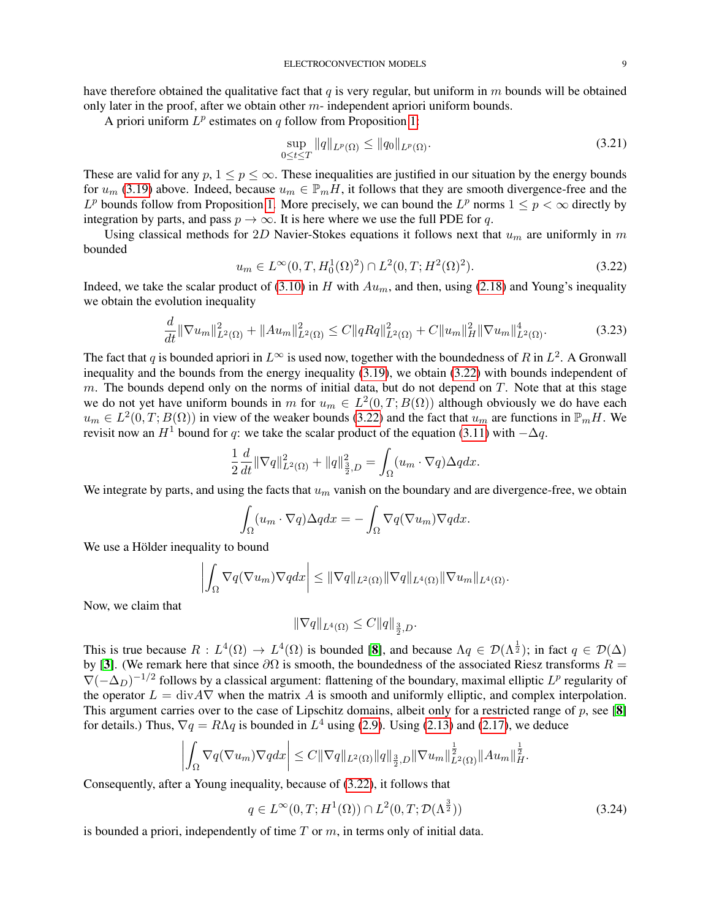have therefore obtained the qualitative fact that q is very regular, but uniform in  $m$  bounds will be obtained only later in the proof, after we obtain other  $m$ - independent apriori uniform bounds.

A priori uniform  $L^p$  estimates on q follow from Proposition [1:](#page-3-2)

<span id="page-8-1"></span>
$$
\sup_{0 \le t \le T} \|q\|_{L^p(\Omega)} \le \|q_0\|_{L^p(\Omega)}.
$$
\n(3.21)

These are valid for any  $p, 1 \leq p \leq \infty$ . These inequalities are justified in our situation by the energy bounds for  $u_m$  [\(3.19\)](#page-7-1) above. Indeed, because  $u_m \in \mathbb{P}_m H$ , it follows that they are smooth divergence-free and the  $L^p$  bounds follow from Proposition [1.](#page-3-2) More precisely, we can bound the  $L^p$  norms  $1 \leq p < \infty$  directly by integration by parts, and pass  $p \to \infty$ . It is here where we use the full PDE for q.

Using classical methods for 2D Navier-Stokes equations it follows next that  $u_m$  are uniformly in m bounded

<span id="page-8-0"></span>
$$
u_m \in L^{\infty}(0, T, H_0^1(\Omega)^2) \cap L^2(0, T; H^2(\Omega)^2). \tag{3.22}
$$

Indeed, we take the scalar product of [\(3.10\)](#page-5-5) in H with  $Au_m$ , and then, using [\(2.18\)](#page-4-0) and Young's inequality we obtain the evolution inequality

$$
\frac{d}{dt} \|\nabla u_m\|_{L^2(\Omega)}^2 + \|Au_m\|_{L^2(\Omega)}^2 \le C \|qRq\|_{L^2(\Omega)}^2 + C \|u_m\|_H^2 \|\nabla u_m\|_{L^2(\Omega)}^4.
$$
\n(3.23)

The fact that q is bounded apriori in  $L^{\infty}$  is used now, together with the boundedness of R in  $L^2$ . A Gronwall inequality and the bounds from the energy inequality [\(3.19\)](#page-7-1), we obtain [\(3.22\)](#page-8-0) with bounds independent of m. The bounds depend only on the norms of initial data, but do not depend on  $T$ . Note that at this stage we do not yet have uniform bounds in m for  $u_m \in L^2(0,T;B(\Omega))$  although obviously we do have each  $u_m \in L^2(0,T;B(\Omega))$  in view of the weaker bounds [\(3.22\)](#page-8-0) and the fact that  $u_m$  are functions in  $\mathbb{P}_mH$ . We revisit now an  $H^1$  bound for q: we take the scalar product of the equation [\(3.11\)](#page-5-6) with  $-\Delta q$ .

$$
\frac{1}{2}\frac{d}{dt}\|\nabla q\|_{L^2(\Omega)}^2 + \|q\|_{\frac{3}{2},D}^2 = \int_{\Omega} (u_m \cdot \nabla q) \Delta q dx.
$$

We integrate by parts, and using the facts that  $u_m$  vanish on the boundary and are divergence-free, we obtain

$$
\int_{\Omega} (u_m \cdot \nabla q) \Delta q dx = - \int_{\Omega} \nabla q (\nabla u_m) \nabla q dx.
$$

We use a Hölder inequality to bound

$$
\left| \int_{\Omega} \nabla q(\nabla u_m) \nabla q dx \right| \leq ||\nabla q||_{L^2(\Omega)} ||\nabla q||_{L^4(\Omega)} ||\nabla u_m||_{L^4(\Omega)}.
$$

Now, we claim that

$$
\|\nabla q\|_{L^4(\Omega)} \le C \|q\|_{\frac{3}{2},D}.
$$

This is true because  $R: L^4(\Omega) \to L^4(\Omega)$  is bounded [[8](#page-9-9)], and because  $\Lambda q \in \mathcal{D}(\Lambda^{\frac{1}{2}})$ ; in fact  $q \in \mathcal{D}(\Delta)$ by [[3](#page-9-7)]. (We remark here that since  $\partial\Omega$  is smooth, the boundedness of the associated Riesz transforms  $\hat{R}$  =  $\nabla(-\Delta_D)^{-1/2}$  follows by a classical argument: flattening of the boundary, maximal elliptic  $L^p$  regularity of the operator  $L = \text{div}A\nabla$  when the matrix A is smooth and uniformly elliptic, and complex interpolation. This argument carries over to the case of Lipschitz domains, albeit only for a restricted range of  $p$ , see [[8](#page-9-9)] for details.) Thus,  $\nabla q = R\Lambda q$  is bounded in  $L^4$  using [\(2.9\)](#page-4-1). Using [\(2.13\)](#page-4-2) and [\(2.17\)](#page-4-3), we deduce

$$
\left|\int_{\Omega}\nabla q(\nabla u_m)\nabla qdx\right|\leq C\|\nabla q\|_{L^2(\Omega)}\|q\|_{\frac{3}{2},D}\|\nabla u_m\|_{L^2(\Omega)}^{\frac{1}{2}}\|Au_m\|_{H}^{\frac{1}{2}}.
$$

Consequently, after a Young inequality, because of [\(3.22\)](#page-8-0), it follows that

<span id="page-8-2"></span>
$$
q \in L^{\infty}(0, T; H^1(\Omega)) \cap L^2(0, T; \mathcal{D}(\Lambda^{\frac{3}{2}}))
$$
\n
$$
(3.24)
$$

is bounded a priori, independently of time  $T$  or  $m$ , in terms only of initial data.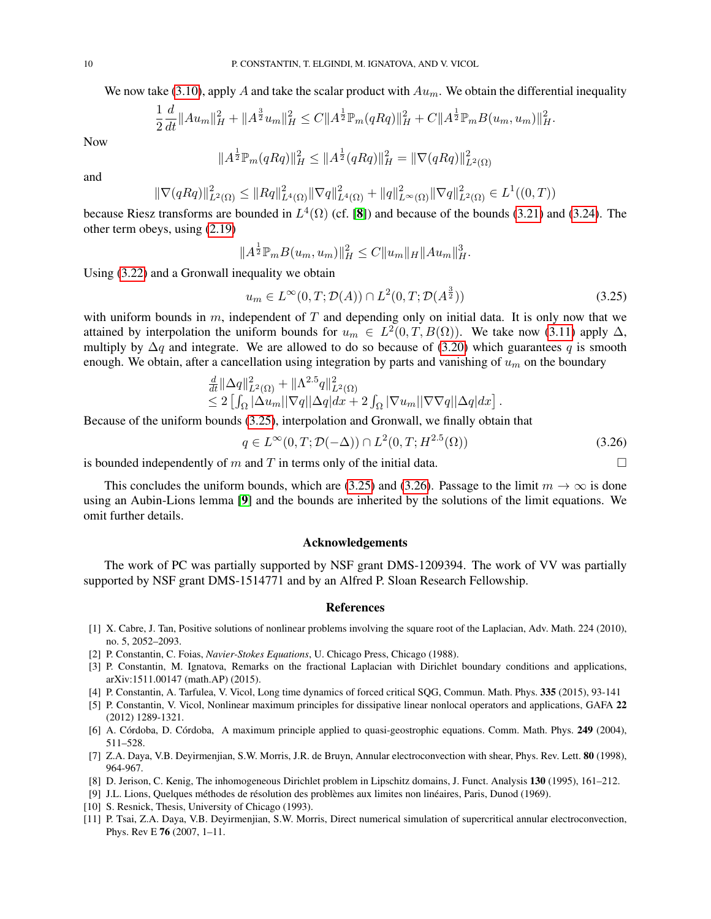We now take [\(3.10\)](#page-5-5), apply A and take the scalar product with  $Au_m$ . We obtain the differential inequality

$$
\frac{1}{2}\frac{d}{dt}\|Au_m\|_H^2 + \|A^{\frac{3}{2}}u_m\|_H^2 \leq C\|A^{\frac{1}{2}}\mathbb{P}_m(qRq)\|_H^2 + C\|A^{\frac{1}{2}}\mathbb{P}_mB(u_m,u_m)\|_H^2.
$$

Now

$$
||A^{\frac{1}{2}}\mathbb{P}_m(qRq)||_H^2 \le ||A^{\frac{1}{2}}(qRq)||_H^2 = ||\nabla(qRq)||_{L^2(\Omega)}^2
$$

and

$$
\|\nabla(qRq)\|_{L^2(\Omega)}^2 \le \|Rq\|_{L^4(\Omega)}^2 \|\nabla q\|_{L^4(\Omega)}^2 + \|q\|_{L^\infty(\Omega)}^2 \|\nabla q\|_{L^2(\Omega)}^2 \in L^1((0,T))
$$

because Riesz transforms are bounded in  $L^4(\Omega)$  (cf. [[8](#page-9-9)]) and because of the bounds [\(3.21\)](#page-8-1) and [\(3.24\)](#page-8-2). The other term obeys, using [\(2.19\)](#page-4-4)

$$
||A^{\frac{1}{2}} \mathbb{P}_m B(u_m, u_m)||_H^2 \leq C ||u_m||_H ||Au_m||_H^3.
$$

Using [\(3.22\)](#page-8-0) and a Gronwall inequality we obtain

<span id="page-9-10"></span>
$$
u_m \in L^{\infty}(0, T; \mathcal{D}(A)) \cap L^2(0, T; \mathcal{D}(A^{\frac{3}{2}}))
$$
\n
$$
(3.25)
$$

with uniform bounds in  $m$ , independent of  $T$  and depending only on initial data. It is only now that we attained by interpolation the uniform bounds for  $u_m \in L^2(0,T,B(\Omega))$ . We take now [\(3.11\)](#page-5-6) apply  $\Delta$ , multiply by  $\Delta q$  and integrate. We are allowed to do so because of [\(3.20\)](#page-7-0) which guarantees q is smooth enough. We obtain, after a cancellation using integration by parts and vanishing of  $u_m$  on the boundary

$$
\frac{\frac{d}{dt}\|\Delta q\|_{L^2(\Omega)}^2 + \|\Lambda^{2.5}q\|_{L^2(\Omega)}^2}{\leq 2\left[\int_{\Omega}|\Delta u_m||\nabla q||\Delta q|dx + 2\int_{\Omega}|\nabla u_m||\nabla \nabla q||\Delta q|dx\right]}.
$$

Because of the uniform bounds [\(3.25\)](#page-9-10), interpolation and Gronwall, we finally obtain that

<span id="page-9-11"></span>
$$
q \in L^{\infty}(0, T; \mathcal{D}(-\Delta)) \cap L^{2}(0, T; H^{2.5}(\Omega))
$$
\n(3.26)

is bounded independently of m and T in terms only of the initial data.  $\square$ 

This concludes the uniform bounds, which are [\(3.25\)](#page-9-10) and [\(3.26\)](#page-9-11). Passage to the limit  $m \to \infty$  is done using an Aubin-Lions lemma [[9](#page-9-12)] and the bounds are inherited by the solutions of the limit equations. We omit further details.

### Acknowledgements

The work of PC was partially supported by NSF grant DMS-1209394. The work of VV was partially supported by NSF grant DMS-1514771 and by an Alfred P. Sloan Research Fellowship.

### References

- <span id="page-9-8"></span>[1] X. Cabre, J. Tan, Positive solutions of nonlinear problems involving the square root of the Laplacian, Adv. Math. 224 (2010), no. 5, 2052–2093.
- <span id="page-9-4"></span>[2] P. Constantin, C. Foias, *Navier-Stokes Equations*, U. Chicago Press, Chicago (1988).
- <span id="page-9-7"></span>[3] P. Constantin, M. Ignatova, Remarks on the fractional Laplacian with Dirichlet boundary conditions and applications, arXiv:1511.00147 (math.AP) (2015).
- <span id="page-9-2"></span>[4] P. Constantin, A. Tarfulea, V. Vicol, Long time dynamics of forced critical SQG, Commun. Math. Phys. 335 (2015), 93-141
- <span id="page-9-5"></span>[5] P. Constantin, V. Vicol, Nonlinear maximum principles for dissipative linear nonlocal operators and applications, GAFA 22 (2012) 1289-1321.
- <span id="page-9-6"></span>[6] A. Córdoba, D. Córdoba, A maximum principle applied to quasi-geostrophic equations. Comm. Math. Phys. 249 (2004), 511–528.
- <span id="page-9-0"></span>[7] Z.A. Daya, V.B. Devirmenjian, S.W. Morris, J.R. de Bruyn, Annular electroconvection with shear, Phys. Rev. Lett. 80 (1998), 964-967.
- <span id="page-9-9"></span>[8] D. Jerison, C. Kenig, The inhomogeneous Dirichlet problem in Lipschitz domains, J. Funct. Analysis 130 (1995), 161–212.
- <span id="page-9-12"></span>[9] J.L. Lions, Quelques méthodes de résolution des problèmes aux limites non linéaires, Paris, Dunod (1969).
- <span id="page-9-3"></span>[10] S. Resnick, Thesis, University of Chicago (1993).
- <span id="page-9-1"></span>[11] P. Tsai, Z.A. Daya, V.B. Deyirmenjian, S.W. Morris, Direct numerical simulation of supercritical annular electroconvection, Phys. Rev E 76 (2007, 1–11.